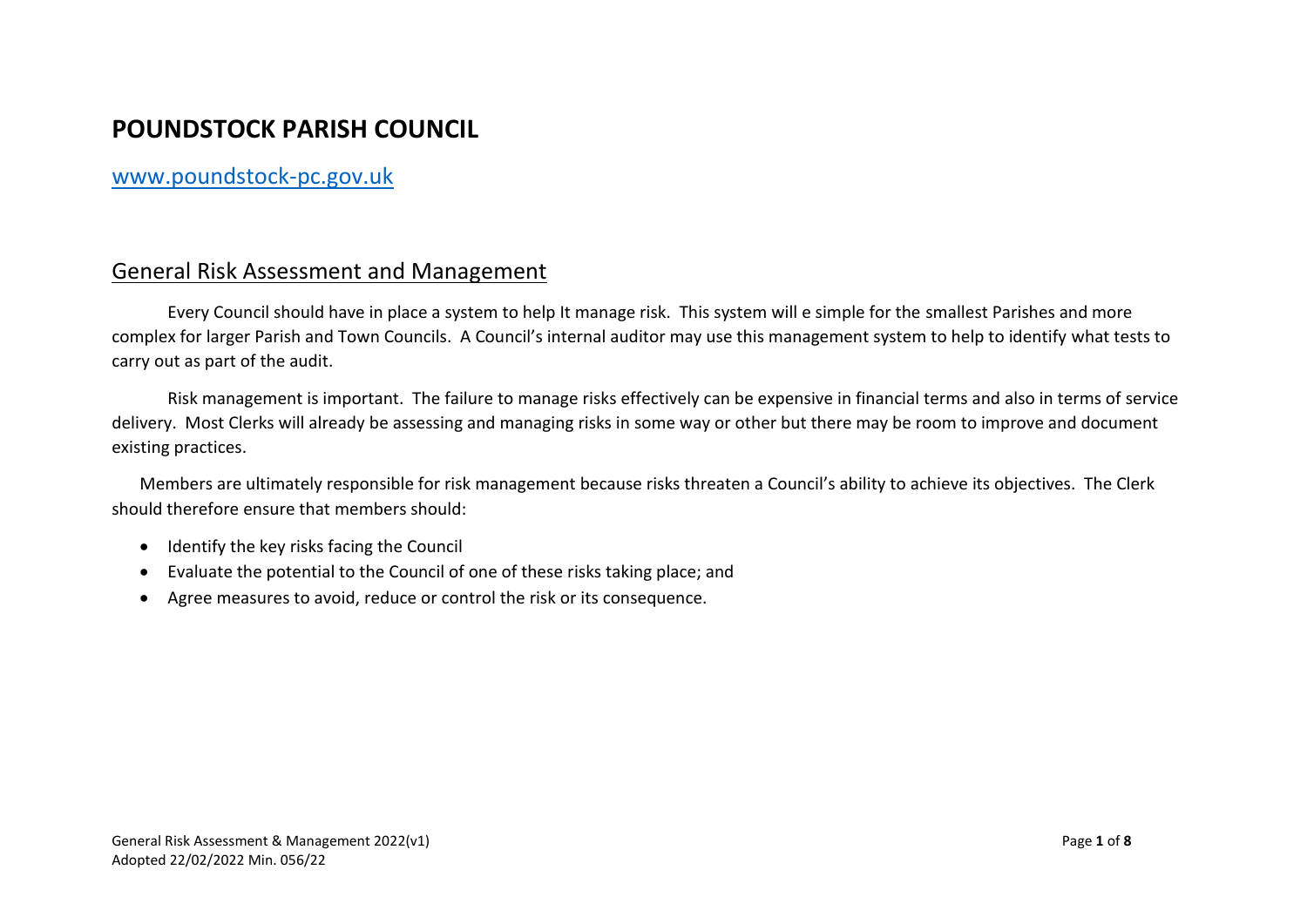## **POUNDSTOCK PARISH COUNCIL**

## [www.poundstock-pc.gov.uk](http://www.poundstock-pc.gov.uk/)

## General Risk Assessment and Management

Every Council should have in place a system to help It manage risk. This system will e simple for the smallest Parishes and more complex for larger Parish and Town Councils. A Council's internal auditor may use this management system to help to identify what tests to carry out as part of the audit.

Risk management is important. The failure to manage risks effectively can be expensive in financial terms and also in terms of service delivery. Most Clerks will already be assessing and managing risks in some way or other but there may be room to improve and document existing practices.

Members are ultimately responsible for risk management because risks threaten a Council's ability to achieve its objectives. The Clerk should therefore ensure that members should:

- Identify the key risks facing the Council
- Evaluate the potential to the Council of one of these risks taking place; and
- Agree measures to avoid, reduce or control the risk or its consequence.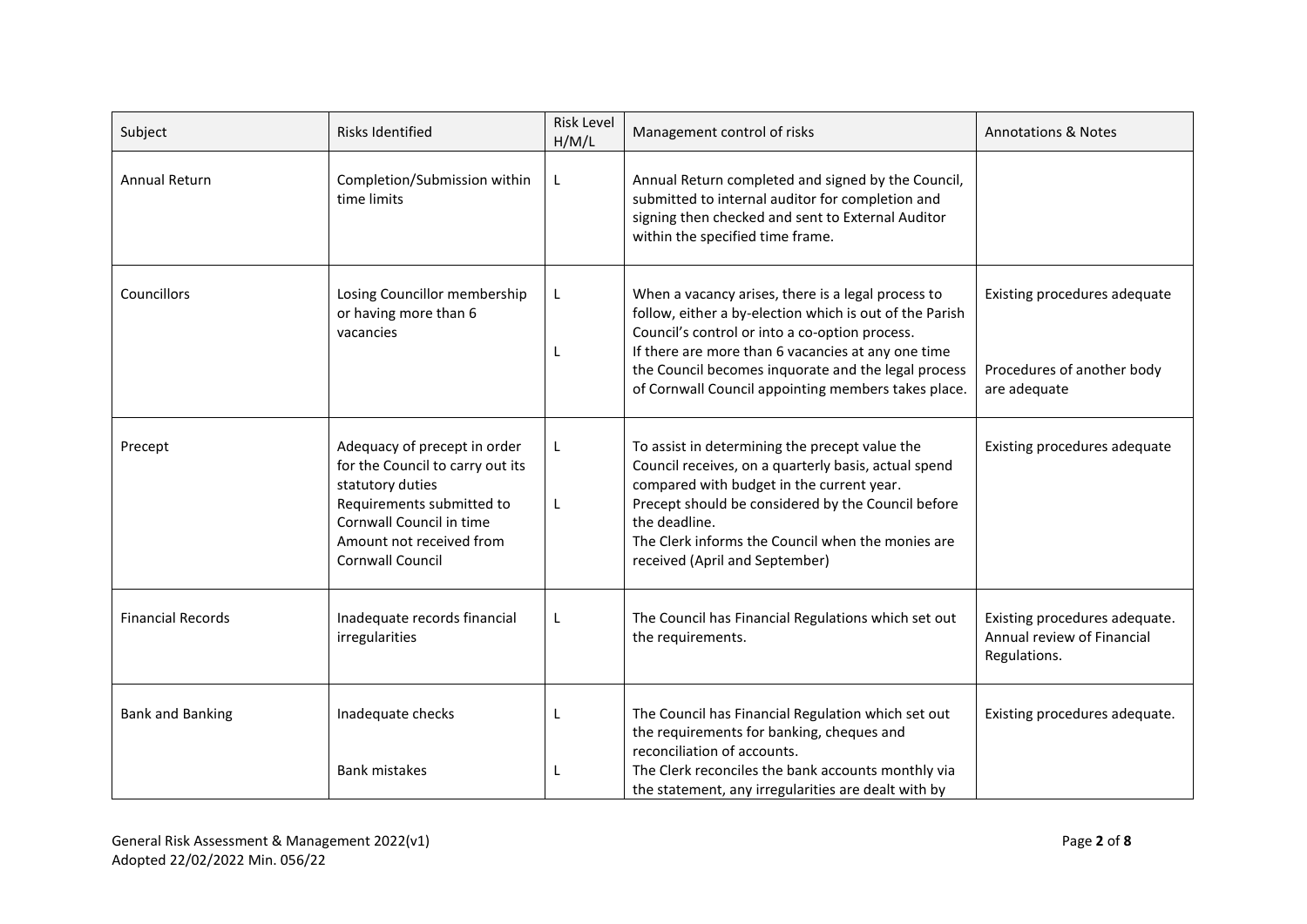| Subject                  | <b>Risks Identified</b>                                                                                                                                                                              | Risk Level<br>H/M/L | Management control of risks                                                                                                                                                                                                                                                                                                         | <b>Annotations &amp; Notes</b>                                              |
|--------------------------|------------------------------------------------------------------------------------------------------------------------------------------------------------------------------------------------------|---------------------|-------------------------------------------------------------------------------------------------------------------------------------------------------------------------------------------------------------------------------------------------------------------------------------------------------------------------------------|-----------------------------------------------------------------------------|
| <b>Annual Return</b>     | Completion/Submission within<br>time limits                                                                                                                                                          | L                   | Annual Return completed and signed by the Council,<br>submitted to internal auditor for completion and<br>signing then checked and sent to External Auditor<br>within the specified time frame.                                                                                                                                     |                                                                             |
| Councillors              | Losing Councillor membership<br>or having more than 6<br>vacancies                                                                                                                                   | L                   | When a vacancy arises, there is a legal process to<br>follow, either a by-election which is out of the Parish<br>Council's control or into a co-option process.<br>If there are more than 6 vacancies at any one time<br>the Council becomes inquorate and the legal process<br>of Cornwall Council appointing members takes place. | Existing procedures adequate<br>Procedures of another body<br>are adequate  |
| Precept                  | Adequacy of precept in order<br>for the Council to carry out its<br>statutory duties<br>Requirements submitted to<br>Cornwall Council in time<br>Amount not received from<br><b>Cornwall Council</b> | L                   | To assist in determining the precept value the<br>Council receives, on a quarterly basis, actual spend<br>compared with budget in the current year.<br>Precept should be considered by the Council before<br>the deadline.<br>The Clerk informs the Council when the monies are<br>received (April and September)                   | Existing procedures adequate                                                |
| <b>Financial Records</b> | Inadequate records financial<br>irregularities                                                                                                                                                       | L                   | The Council has Financial Regulations which set out<br>the requirements.                                                                                                                                                                                                                                                            | Existing procedures adequate.<br>Annual review of Financial<br>Regulations. |
| <b>Bank and Banking</b>  | Inadequate checks<br><b>Bank mistakes</b>                                                                                                                                                            |                     | The Council has Financial Regulation which set out<br>the requirements for banking, cheques and<br>reconciliation of accounts.<br>The Clerk reconciles the bank accounts monthly via<br>the statement, any irregularities are dealt with by                                                                                         | Existing procedures adequate.                                               |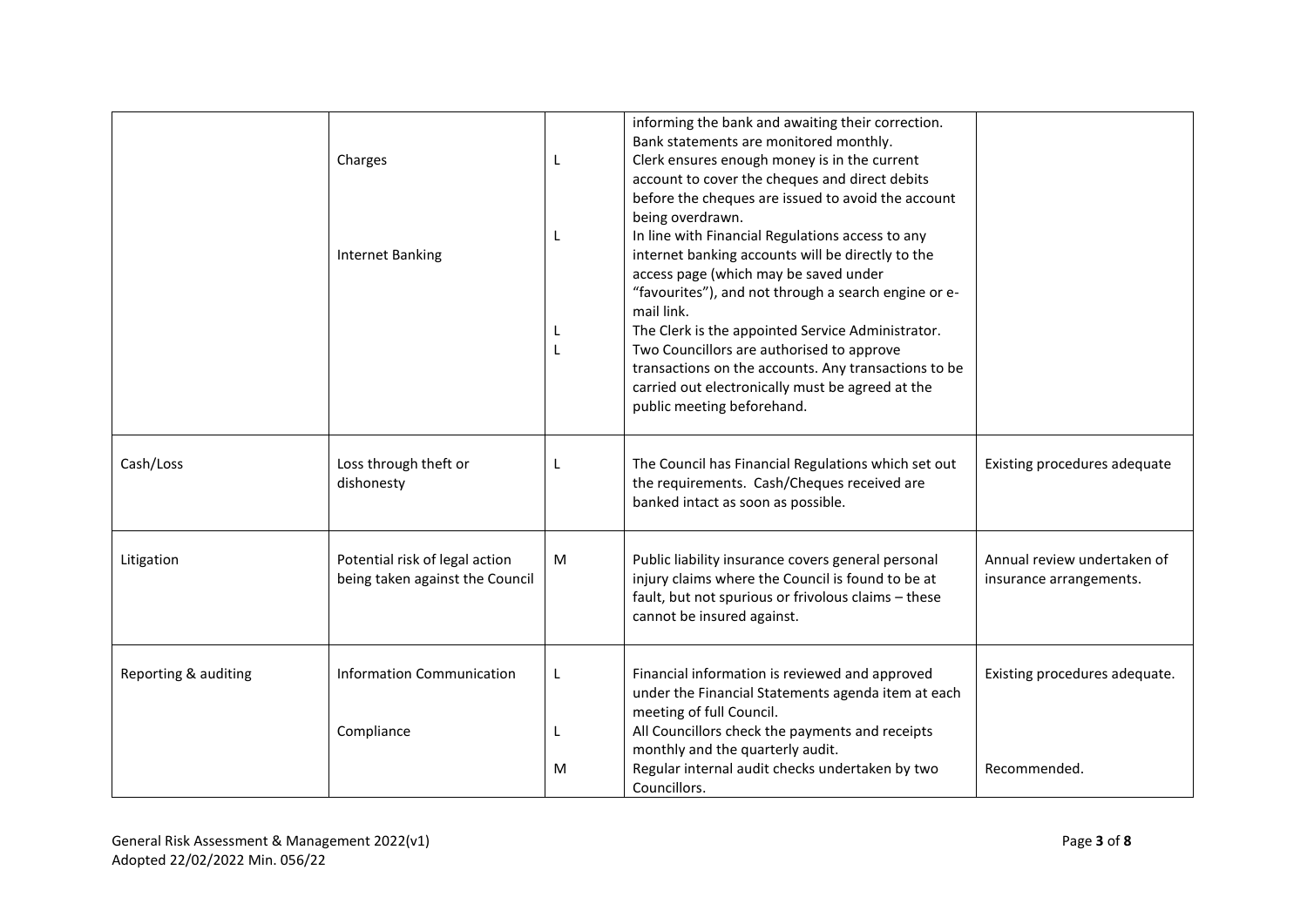|                      | Charges<br><b>Internet Banking</b>                                | L      | informing the bank and awaiting their correction.<br>Bank statements are monitored monthly.<br>Clerk ensures enough money is in the current<br>account to cover the cheques and direct debits<br>before the cheques are issued to avoid the account<br>being overdrawn.<br>In line with Financial Regulations access to any<br>internet banking accounts will be directly to the<br>access page (which may be saved under<br>"favourites"), and not through a search engine or e-<br>mail link.<br>The Clerk is the appointed Service Administrator.<br>Two Councillors are authorised to approve<br>transactions on the accounts. Any transactions to be<br>carried out electronically must be agreed at the<br>public meeting beforehand. |                                                        |
|----------------------|-------------------------------------------------------------------|--------|---------------------------------------------------------------------------------------------------------------------------------------------------------------------------------------------------------------------------------------------------------------------------------------------------------------------------------------------------------------------------------------------------------------------------------------------------------------------------------------------------------------------------------------------------------------------------------------------------------------------------------------------------------------------------------------------------------------------------------------------|--------------------------------------------------------|
| Cash/Loss            | Loss through theft or<br>dishonesty                               | L      | The Council has Financial Regulations which set out<br>the requirements. Cash/Cheques received are<br>banked intact as soon as possible.                                                                                                                                                                                                                                                                                                                                                                                                                                                                                                                                                                                                    | Existing procedures adequate                           |
| Litigation           | Potential risk of legal action<br>being taken against the Council | M      | Public liability insurance covers general personal<br>injury claims where the Council is found to be at<br>fault, but not spurious or frivolous claims - these<br>cannot be insured against.                                                                                                                                                                                                                                                                                                                                                                                                                                                                                                                                                | Annual review undertaken of<br>insurance arrangements. |
| Reporting & auditing | <b>Information Communication</b><br>Compliance                    | L<br>М | Financial information is reviewed and approved<br>under the Financial Statements agenda item at each<br>meeting of full Council.<br>All Councillors check the payments and receipts<br>monthly and the quarterly audit.<br>Regular internal audit checks undertaken by two<br>Councillors.                                                                                                                                                                                                                                                                                                                                                                                                                                                  | Existing procedures adequate.<br>Recommended.          |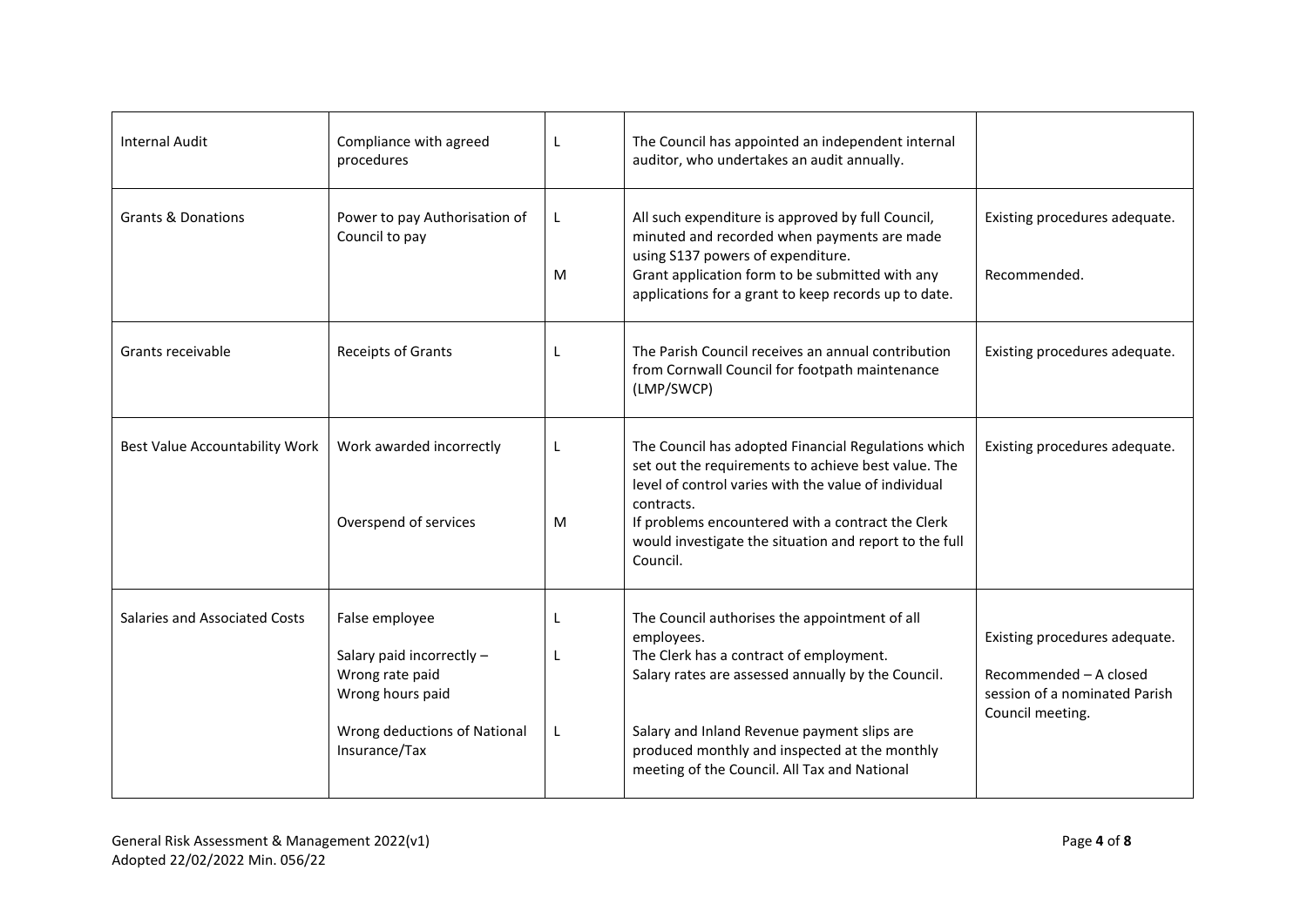| <b>Internal Audit</b>                 | Compliance with agreed<br>procedures                                                                                                | L                 | The Council has appointed an independent internal<br>auditor, who undertakes an audit annually.                                                                                                                                                                                                              |                                                                                                              |
|---------------------------------------|-------------------------------------------------------------------------------------------------------------------------------------|-------------------|--------------------------------------------------------------------------------------------------------------------------------------------------------------------------------------------------------------------------------------------------------------------------------------------------------------|--------------------------------------------------------------------------------------------------------------|
| <b>Grants &amp; Donations</b>         | Power to pay Authorisation of<br>Council to pay                                                                                     | L.<br>м           | All such expenditure is approved by full Council,<br>minuted and recorded when payments are made<br>using S137 powers of expenditure.<br>Grant application form to be submitted with any<br>applications for a grant to keep records up to date.                                                             | Existing procedures adequate.<br>Recommended.                                                                |
| Grants receivable                     | Receipts of Grants                                                                                                                  | L                 | The Parish Council receives an annual contribution<br>from Cornwall Council for footpath maintenance<br>(LMP/SWCP)                                                                                                                                                                                           | Existing procedures adequate.                                                                                |
| <b>Best Value Accountability Work</b> | Work awarded incorrectly<br>Overspend of services                                                                                   | L<br>M            | The Council has adopted Financial Regulations which<br>set out the requirements to achieve best value. The<br>level of control varies with the value of individual<br>contracts.<br>If problems encountered with a contract the Clerk<br>would investigate the situation and report to the full<br>Council.  | Existing procedures adequate.                                                                                |
| Salaries and Associated Costs         | False employee<br>Salary paid incorrectly -<br>Wrong rate paid<br>Wrong hours paid<br>Wrong deductions of National<br>Insurance/Tax | $\mathbf{I}$<br>L | The Council authorises the appointment of all<br>employees.<br>The Clerk has a contract of employment.<br>Salary rates are assessed annually by the Council.<br>Salary and Inland Revenue payment slips are<br>produced monthly and inspected at the monthly<br>meeting of the Council. All Tax and National | Existing procedures adequate.<br>Recommended - A closed<br>session of a nominated Parish<br>Council meeting. |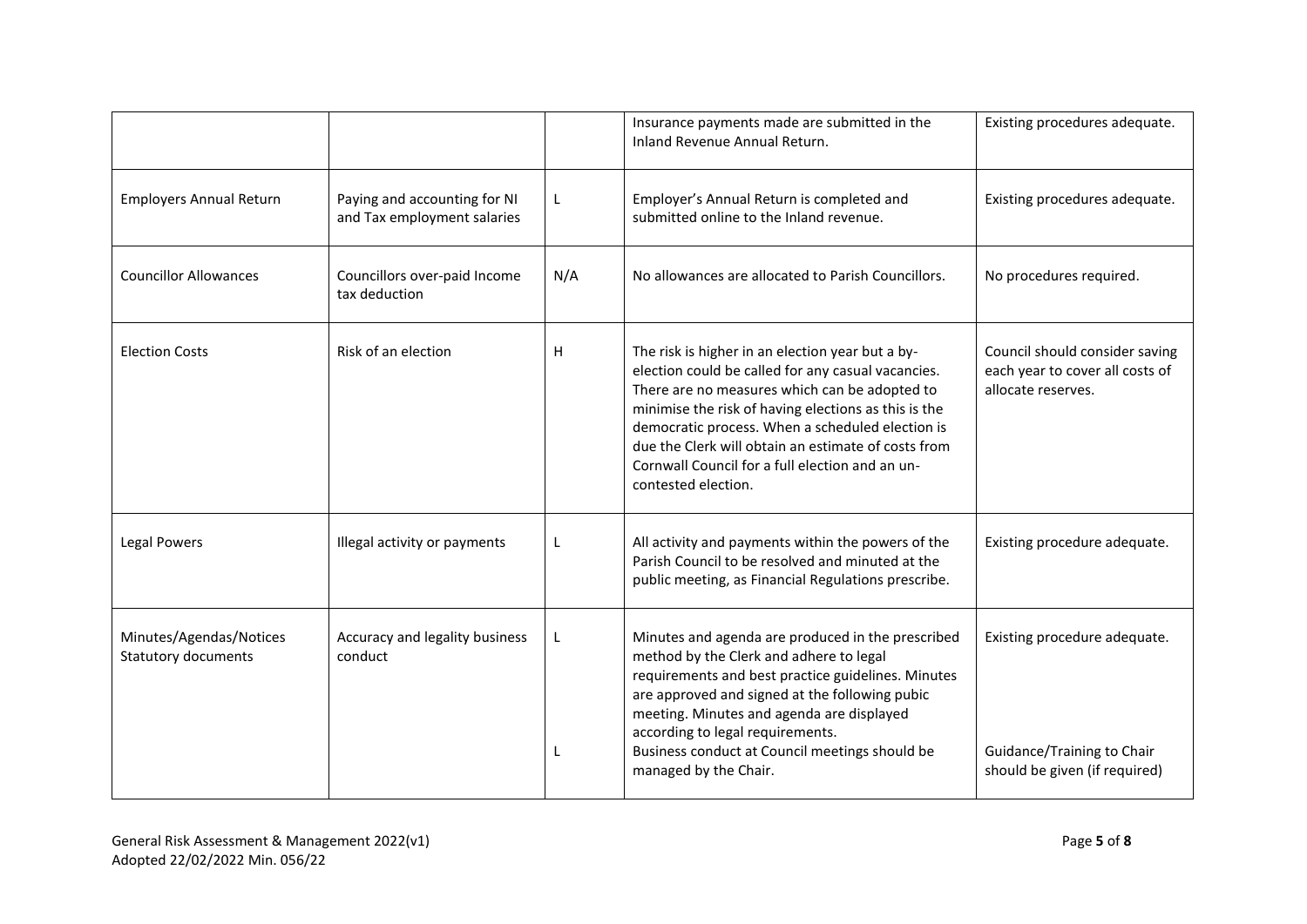|                                                       |                                                             |     | Insurance payments made are submitted in the<br>Inland Revenue Annual Return.                                                                                                                                                                                                                                                                                                                        | Existing procedures adequate.                                                               |
|-------------------------------------------------------|-------------------------------------------------------------|-----|------------------------------------------------------------------------------------------------------------------------------------------------------------------------------------------------------------------------------------------------------------------------------------------------------------------------------------------------------------------------------------------------------|---------------------------------------------------------------------------------------------|
| <b>Employers Annual Return</b>                        | Paying and accounting for NI<br>and Tax employment salaries | L   | Employer's Annual Return is completed and<br>submitted online to the Inland revenue.                                                                                                                                                                                                                                                                                                                 | Existing procedures adequate.                                                               |
| <b>Councillor Allowances</b>                          | Councillors over-paid Income<br>tax deduction               | N/A | No allowances are allocated to Parish Councillors.                                                                                                                                                                                                                                                                                                                                                   | No procedures required.                                                                     |
| <b>Election Costs</b>                                 | Risk of an election                                         | H   | The risk is higher in an election year but a by-<br>election could be called for any casual vacancies.<br>There are no measures which can be adopted to<br>minimise the risk of having elections as this is the<br>democratic process. When a scheduled election is<br>due the Clerk will obtain an estimate of costs from<br>Cornwall Council for a full election and an un-<br>contested election. | Council should consider saving<br>each year to cover all costs of<br>allocate reserves.     |
| Legal Powers                                          | Illegal activity or payments                                | L   | All activity and payments within the powers of the<br>Parish Council to be resolved and minuted at the<br>public meeting, as Financial Regulations prescribe.                                                                                                                                                                                                                                        | Existing procedure adequate.                                                                |
| Minutes/Agendas/Notices<br><b>Statutory documents</b> | Accuracy and legality business<br>conduct                   |     | Minutes and agenda are produced in the prescribed<br>method by the Clerk and adhere to legal<br>requirements and best practice guidelines. Minutes<br>are approved and signed at the following pubic<br>meeting. Minutes and agenda are displayed<br>according to legal requirements.<br>Business conduct at Council meetings should be<br>managed by the Chair.                                     | Existing procedure adequate.<br>Guidance/Training to Chair<br>should be given (if required) |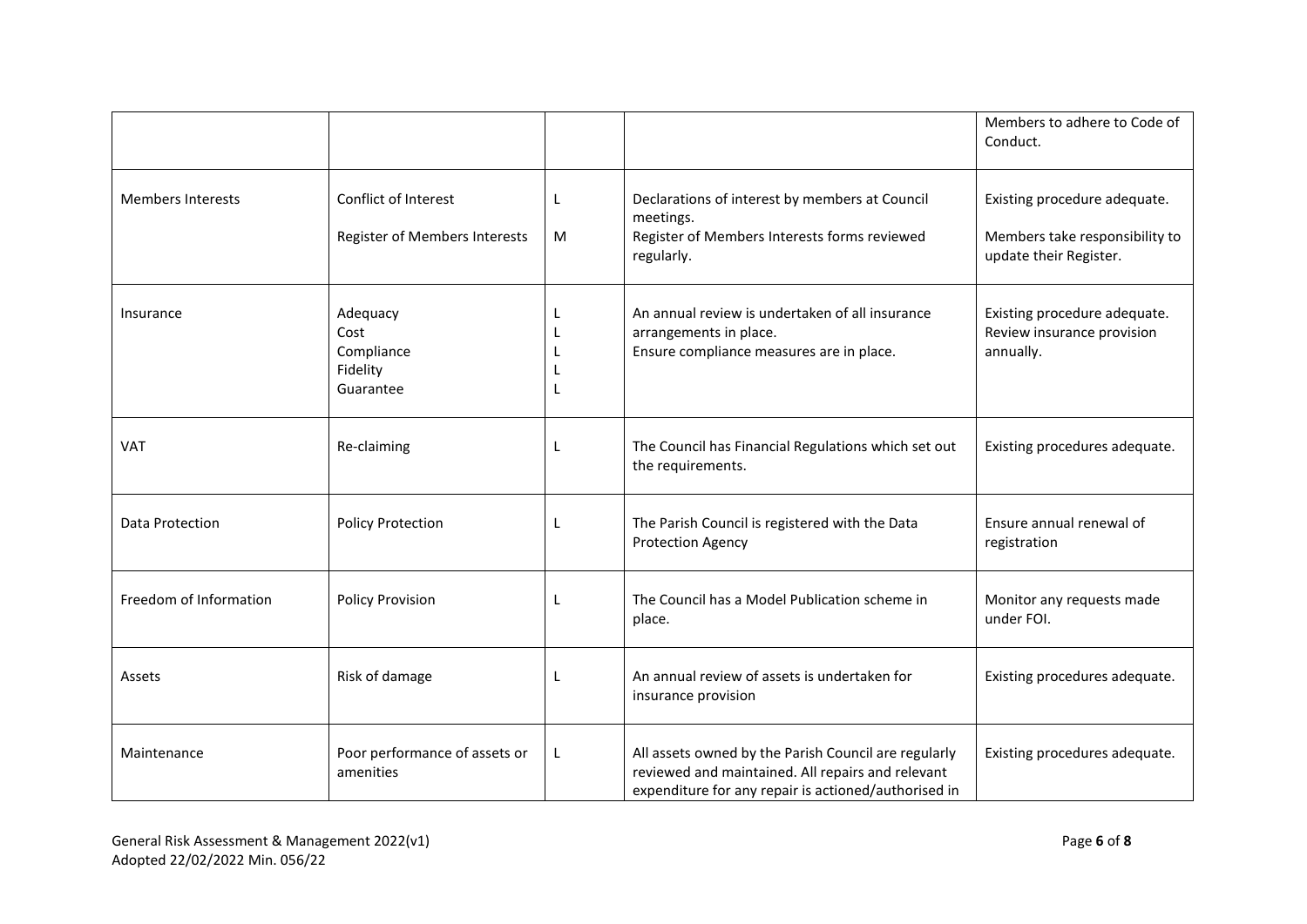|                          |                                                         |   |                                                                                                                                                                   | Members to adhere to Code of<br>Conduct.                                                 |
|--------------------------|---------------------------------------------------------|---|-------------------------------------------------------------------------------------------------------------------------------------------------------------------|------------------------------------------------------------------------------------------|
| <b>Members Interests</b> | Conflict of Interest<br>Register of Members Interests   | M | Declarations of interest by members at Council<br>meetings.<br>Register of Members Interests forms reviewed<br>regularly.                                         | Existing procedure adequate.<br>Members take responsibility to<br>update their Register. |
| Insurance                | Adequacy<br>Cost<br>Compliance<br>Fidelity<br>Guarantee | L | An annual review is undertaken of all insurance<br>arrangements in place.<br>Ensure compliance measures are in place.                                             | Existing procedure adequate.<br>Review insurance provision<br>annually.                  |
| <b>VAT</b>               | Re-claiming                                             | L | The Council has Financial Regulations which set out<br>the requirements.                                                                                          | Existing procedures adequate.                                                            |
| Data Protection          | <b>Policy Protection</b>                                | L | The Parish Council is registered with the Data<br><b>Protection Agency</b>                                                                                        | Ensure annual renewal of<br>registration                                                 |
| Freedom of Information   | <b>Policy Provision</b>                                 | L | The Council has a Model Publication scheme in<br>place.                                                                                                           | Monitor any requests made<br>under FOI.                                                  |
| Assets                   | Risk of damage                                          |   | An annual review of assets is undertaken for<br>insurance provision                                                                                               | Existing procedures adequate.                                                            |
| Maintenance              | Poor performance of assets or<br>amenities              | L | All assets owned by the Parish Council are regularly<br>reviewed and maintained. All repairs and relevant<br>expenditure for any repair is actioned/authorised in | Existing procedures adequate.                                                            |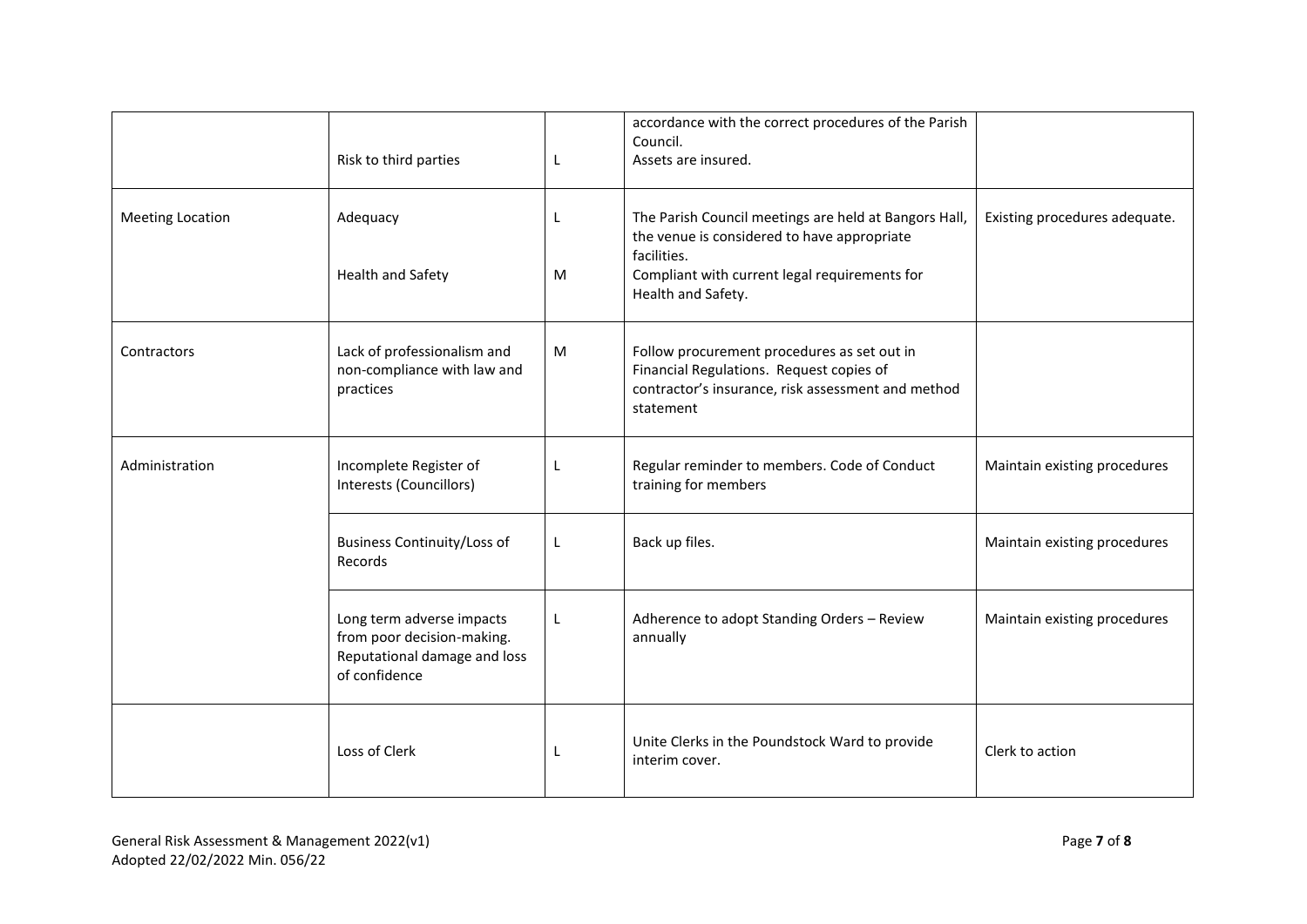|                         | Risk to third parties                                                                                    | L      | accordance with the correct procedures of the Parish<br>Council.<br>Assets are insured.                                                                                                    |                               |
|-------------------------|----------------------------------------------------------------------------------------------------------|--------|--------------------------------------------------------------------------------------------------------------------------------------------------------------------------------------------|-------------------------------|
| <b>Meeting Location</b> | Adequacy<br>Health and Safety                                                                            | L<br>М | The Parish Council meetings are held at Bangors Hall,<br>the venue is considered to have appropriate<br>facilities.<br>Compliant with current legal requirements for<br>Health and Safety. | Existing procedures adequate. |
| Contractors             | Lack of professionalism and<br>non-compliance with law and<br>practices                                  | M      | Follow procurement procedures as set out in<br>Financial Regulations. Request copies of<br>contractor's insurance, risk assessment and method<br>statement                                 |                               |
| Administration          | Incomplete Register of<br>Interests (Councillors)                                                        | L      | Regular reminder to members. Code of Conduct<br>training for members                                                                                                                       | Maintain existing procedures  |
|                         | <b>Business Continuity/Loss of</b><br>Records                                                            | L      | Back up files.                                                                                                                                                                             | Maintain existing procedures  |
|                         | Long term adverse impacts<br>from poor decision-making.<br>Reputational damage and loss<br>of confidence | L      | Adherence to adopt Standing Orders - Review<br>annually                                                                                                                                    | Maintain existing procedures  |
|                         | Loss of Clerk                                                                                            | L      | Unite Clerks in the Poundstock Ward to provide<br>interim cover.                                                                                                                           | Clerk to action               |